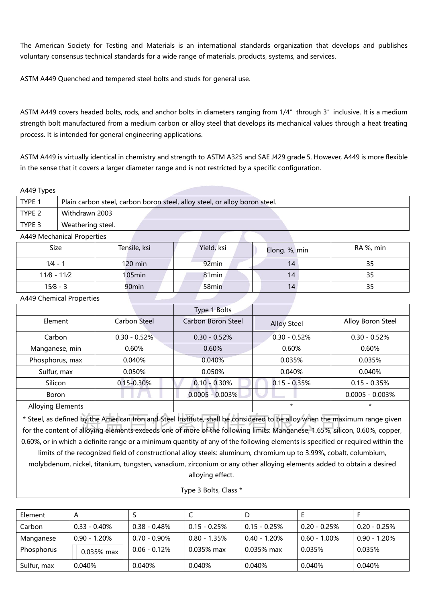The American Society for Testing and Materials is an international standards organization that develops and publishes voluntary consensus technical standards for a wide range of materials, products, systems, and services.

ASTM A449 Quenched and tempered steel bolts and studs for general use.

ASTM A449 covers headed bolts, rods, and anchor bolts in diameters ranging from 1/4″ through 3″ inclusive. It is a medium strength bolt manufactured from a medium carbon or alloy steel that develops its mechanical values through a heat treating process. It is intended for general engineering applications.

ASTM A449 is virtually identical in chemistry and strength to ASTM A325 and SAE J429 grade 5. However, A449 is more flexible in the sense that it covers a larger diameter range and is not restricted by a specific configuration.

A449 Types

| TYPE <sub>1</sub> | Plain carbon steel, carbon boron steel, alloy steel, or alloy boron steel. |
|-------------------|----------------------------------------------------------------------------|
| TYPE <sub>2</sub> | Withdrawn 2003                                                             |
| TYPE 3            | Weathering steel.                                                          |
|                   | A449 Mechanical Properties                                                 |

| Size        | Tensile, ksi      | Yield, ksi        | Elong. %, min | RA %, min |
|-------------|-------------------|-------------------|---------------|-----------|
| $1/4 - 1$   | $120 \text{ min}$ | 92 <sub>min</sub> | 14            | 35        |
| 11/8 - 11/2 | $105$ min         | $81$ min          | 14            | 35        |
| $15/8 - 3$  | 90 <sub>min</sub> | 58min             | 14            | 35        |

A449 Chemical Properties

|                          |                | Type 1 Bolts       |                    |                    |
|--------------------------|----------------|--------------------|--------------------|--------------------|
| Element                  | Carbon Steel   | Carbon Boron Steel | <b>Alloy Steel</b> | Alloy Boron Steel  |
| Carbon                   | $0.30 - 0.52%$ | $0.30 - 0.52%$     | $0.30 - 0.52%$     | $0.30 - 0.52%$     |
| Manganese, min           | 0.60%          | 0.60%              | 0.60%              | 0.60%              |
| Phosphorus, max          | 0.040%         | 0.040%             | 0.035%             | 0.035%             |
| Sulfur, max              | 0.050%         | 0.050%             | 0.040%             | 0.040%             |
| Silicon                  | $0.15 - 0.30%$ | $0.10 - 0.30%$     | $0.15 - 0.35%$     | $0.15 - 0.35%$     |
| Boron                    |                | $0.0005 - 0.003\%$ |                    | $0.0005 - 0.003\%$ |
| <b>Alloying Elements</b> |                |                    | $^\star$           | $^\star$           |

\* Steel, as defined by the American Iron and Steel Institute, shall be considered to be alloy when the maximum range given for the content of alloying elements exceeds one of more of the following limits: Manganese, 1.65%, silicon, 0.60%, copper, 0.60%, or in which a definite range or a minimum quantity of any of the following elements is specified or required within the

limits of the recognized field of constructional alloy steels: aluminum, chromium up to 3.99%, cobalt, columbium, molybdenum, nickel, titanium, tungsten, vanadium, zirconium or any other alloying elements added to obtain a desired alloying effect.

| Type 3 Bolts, Class * |  |  |
|-----------------------|--|--|
|-----------------------|--|--|

| Element     | $\mathsf{A}$    |                 |                 |                 |                 |                 |
|-------------|-----------------|-----------------|-----------------|-----------------|-----------------|-----------------|
| Carbon      | $0.33 - 0.40\%$ | $0.38 - 0.48\%$ | $0.15 - 0.25%$  | $0.15 - 0.25\%$ | $0.20 - 0.25\%$ | $0.20 - 0.25\%$ |
| Manganese   | $0.90 - 1.20\%$ | $0.70 - 0.90\%$ | $0.80 - 1.35\%$ | $0.40 - 1.20\%$ | $0.60 - 1.00\%$ | $0.90 - 1.20\%$ |
| Phosphorus  | 0.035% max      | $0.06 - 0.12\%$ | $0.035\%$ max   | $0.035\%$ max   | 0.035%          | 0.035%          |
| Sulfur, max | 0.040%          | 0.040%          | 0.040%          | 0.040%          | 0.040%          | 0.040%          |